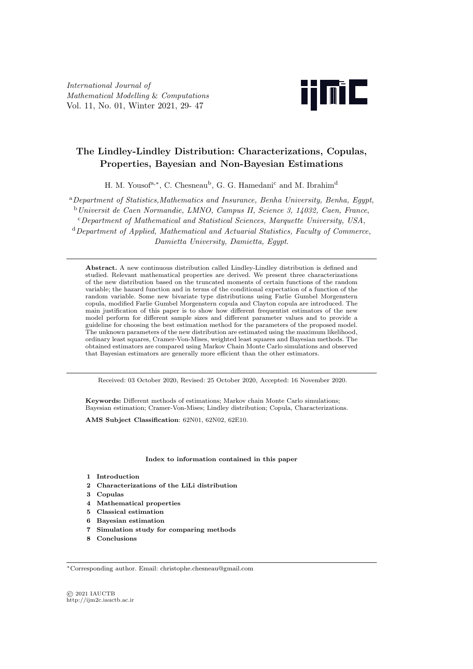*International Journal of Mathematical Modelling* & *Computations* Vol. 11, No. 01, Winter 2021, 29- 47



# **The Lindley-Lindley Distribution: Characterizations, Copulas, Properties, Bayesian and Non-Bayesian Estimations**

H. M. Yousof<sup>a,\*</sup>, C. Chesneau<sup>b</sup>, G. G. Hamedani<sup>c</sup> and M. Ibrahim<sup>d</sup>

<sup>a</sup>*Department of Statistics,Mathematics and Insurance, Benha University, Benha, Egypt*,

<sup>b</sup>*Universit de Caen Normandie, LMNO, Campus II, Science 3, 14032, Caen, France*,

<sup>c</sup>*Department of Mathematical and Statistical Sciences, Marquette University, USA*, <sup>d</sup>*Department of Applied, Mathematical and Actuarial Statistics, Faculty of Commerce,*

*Damietta University, Damietta, Egypt*.

**Abstract.** A new continuous distribution called Lindley-Lindley distribution is defined and studied. Relevant mathematical properties are derived. We present three characterizations of the new distribution based on the truncated moments of certain functions of the random variable; the hazard function and in terms of the conditional expectation of a function of the random variable. Some new bivariate type distributions using Farlie Gumbel Morgenstern copula, modified Farlie Gumbel Morgenstern copula and Clayton copula are introduced. The main justification of this paper is to show how different frequentist estimators of the new model perform for different sample sizes and different parameter values and to provide a guideline for choosing the best estimation method for the parameters of the proposed model. The unknown parameters of the new distribution are estimated using the maximum likelihood, ordinary least squares, Cramer-Von-Mises, weighted least squares and Bayesian methods. The obtained estimators are compared using Markov Chain Monte Carlo simulations and observed that Bayesian estimators are generally more efficient than the other estimators.

Received: 03 October 2020, Revised: 25 October 2020, Accepted: 16 November 2020.

**Keywords:** Different methods of estimations; Markov chain Monte Carlo simulations; Bayesian estimation; Cramer-Von-Mises; Lindley distribution; Copula, Characterizations.

**AMS Subject Classification**: 62N01, 62N02, 62E10.

#### **Index to information contained in this paper**

- **1 Introduction**
- **2 Characterizations of the LiLi distribution**
- **3 Copulas**
- **4 Mathematical properties**
- **5 Classical estimation**
- **6 Bayesian estimation**
- **7 Simulation study for comparing methods**
- **8 Conclusions**

*<sup>∗</sup>*Corresponding author. Email: christophe.chesneau@gmail.com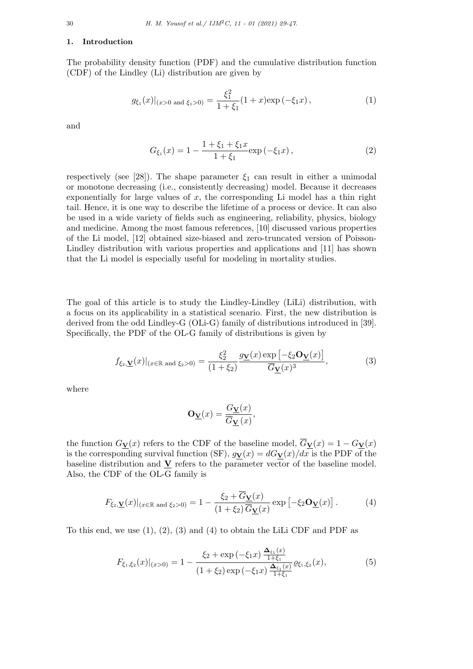#### **1. Introduction**

The probability density function (PDF) and the cumulative distribution function (CDF) of the Lindley (Li) distribution are given by

$$
g_{\xi_1}(x)|_{(x>0 \text{ and } \xi_1>0)} = \frac{\xi_1^2}{1+\xi_1}(1+x)\exp\left(-\xi_1x\right),\tag{1}
$$

and

$$
G_{\xi_1}(x) = 1 - \frac{1 + \xi_1 + \xi_1 x}{1 + \xi_1} \exp(-\xi_1 x), \qquad (2)
$$

respectively (see [28]). The shape parameter  $\xi_1$  can result in either a unimodal or monotone decreasing (i.e., consistently decreasing) model. Because it decreases exponentially for large values of  $x$ , the corresponding Li model has a thin right tail. Hence, it is one way to describe the lifetime of a process or device. It can also be used in a wide variety of fields such as engineering, reliability, physics, biology and medicine. Among the most famous references, [10] discussed various properties of the Li model, [12] obtained size-biased and zero-truncated version of Poisson-Lindley distribution with various properties and applications and [11] has shown that the Li model is especially useful for modeling in mortality studies.

The goal of this article is to study the Lindley-Lindley (LiLi) distribution, with a focus on its applicability in a statistical scenario. First, the new distribution is derived from the odd Lindley-G (OLi-G) family of distributions introduced in [39]. Specifically, the PDF of the OL-G family of distributions is given by

$$
f_{\xi_2,\mathbf{\underline{V}}}(x)|_{(x \in \mathbb{R} \text{ and } \xi_2 > 0)} = \frac{\xi_2^2}{(1 + \xi_2)} \frac{g_{\mathbf{\underline{V}}}(x) \exp\left[-\xi_2 \mathbf{O}_{\mathbf{\underline{V}}}(x)\right]}{\overline{G}_{\mathbf{\underline{V}}}(x)^3},\tag{3}
$$

where

$$
\mathbf{O}_{\mathbf{\underline{V}}}(x) = \frac{G_{\mathbf{\underline{V}}}(x)}{\overline{G}_{\mathbf{\underline{V}}}(x)},
$$

the function  $G_{\mathbf{Y}}(x)$  refers to the CDF of the baseline model,  $\overline{G}_{\mathbf{Y}}(x) = 1 - G_{\mathbf{Y}}(x)$ is the corresponding survival function (SF),  $g_{\mathbf{V}}(x) = dG_{\mathbf{V}}(x)/dx$  is the PDF of the baseline distribution and  $\underline{V}$  refers to the parameter vector of the baseline model. Also, the CDF of the OL-G family is

$$
F_{\xi_2,\mathbf{\underline{V}}}(x)|_{(x \in \mathbb{R} \text{ and } \xi_2 > 0)} = 1 - \frac{\xi_2 + \overline{G}_{\mathbf{\underline{V}}}(x)}{(1 + \xi_2)\overline{G}_{\mathbf{\underline{V}}}(x)} \exp\left[-\xi_2 \mathbf{O}_{\mathbf{\underline{V}}}(x)\right]. \tag{4}
$$

To this end, we use  $(1), (2), (3)$  and  $(4)$  to obtain the LiLi CDF and PDF as

$$
F_{\xi_1,\xi_2}(x)|_{(x>0)} = 1 - \frac{\xi_2 + \exp\left(-\xi_1 x\right) \frac{\Delta_{\xi_1}(x)}{1+\xi_1}}{\left(1+\xi_2\right) \exp\left(-\xi_1 x\right) \frac{\Delta_{\xi_1}(x)}{1+\xi_1}} \varrho_{\xi_1,\xi_2}(x),\tag{5}
$$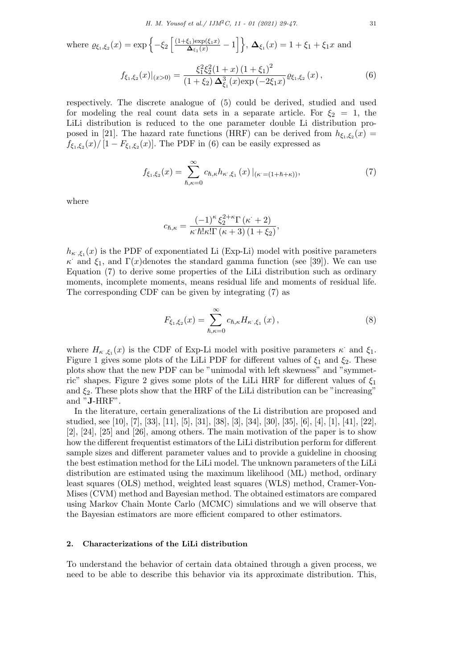where 
$$
\varrho_{\xi_1,\xi_2}(x) = \exp\left\{-\xi_2 \left[\frac{(1+\xi_1)\exp(\xi_1 x)}{\Delta_{\xi_1}(x)} - 1\right]\right\}
$$
,  $\Delta_{\xi_1}(x) = 1 + \xi_1 + \xi_1 x$  and

$$
f_{\xi_1,\xi_2}(x)|_{(x>0)} = \frac{\xi_1^2 \xi_2^2 (1+x) (1+\xi_1)^2}{(1+\xi_2) \Delta_{\xi_1}^3(x) \exp\left(-2\xi_1 x\right)} \varrho_{\xi_1,\xi_2}(x),\tag{6}
$$

respectively. The discrete analogue of (5) could be derived, studied and used for modeling the real count data sets in a separate article. For  $\xi_2 = 1$ , the LiLi distribution is reduced to the one parameter double Li distribution proposed in [21]. The hazard rate functions (HRF) can be derived from  $h_{\xi_1,\xi_2}(x)$  $f_{\xi_1,\xi_2}(x)$  / [1 *− F*<sub> $\xi_1,\xi_2(x)$ ]. The PDF in (6) can be easily expressed as</sub>

$$
f_{\xi_1,\xi_2}(x) = \sum_{\hbar,\kappa=0}^{\infty} c_{\hbar,\kappa} h_{\kappa^{\cdot},\xi_1}(x) \, |_{(\kappa^{\cdot} = (1 + \hbar + \kappa))},\tag{7}
$$

where

$$
c_{\hbar,\kappa} = \frac{(-1)^{\kappa} \, \xi_2^{2+\kappa} \Gamma\left(\kappa+2\right)}{\kappa \, \hbar! \kappa! \Gamma\left(\kappa+3\right) \left(1+\xi_2\right)},
$$

 $h_{\kappa}$ ,  $\xi_1(x)$  is the PDF of exponentiated Li (Exp-Li) model with positive parameters *κ* and  $\xi_1$ , and  $\Gamma(x)$  denotes the standard gamma function (see [39]). We can use Equation (7) to derive some properties of the LiLi distribution such as ordinary moments, incomplete moments, means residual life and moments of residual life. The corresponding CDF can be given by integrating (7) as

$$
F_{\xi_1,\xi_2}(x) = \sum_{\hbar,\kappa=0}^{\infty} c_{\hbar,\kappa} H_{\kappa^{\cdot},\xi_1}(x) ,
$$
 (8)

where  $H_{\kappa^*,\xi_1}(x)$  is the CDF of Exp-Li model with positive parameters  $\kappa^*$  and  $\xi_1$ . Figure 1 gives some plots of the LiLi PDF for different values of  $\xi_1$  and  $\xi_2$ . These plots show that the new PDF can be "unimodal with left skewness" and "symmetric" shapes. Figure 2 gives some plots of the LiLi HRF for different values of *ξ*<sup>1</sup> and  $\xi_2$ . These plots show that the HRF of the LiLi distribution can be "increasing" and "**J**-HRF".

In the literature, certain generalizations of the Li distribution are proposed and studied, see [10], [7], [33], [11], [5], [31], [38], [3], [34], [30], [35], [6], [4], [1], [41], [22], [2], [24], [25] and [26], among others. The main motivation of the paper is to show how the different frequentist estimators of the LiLi distribution perform for different sample sizes and different parameter values and to provide a guideline in choosing the best estimation method for the LiLi model. The unknown parameters of the LiLi distribution are estimated using the maximum likelihood (ML) method, ordinary least squares (OLS) method, weighted least squares (WLS) method, Cramer-Von-Mises (CVM) method and Bayesian method. The obtained estimators are compared using Markov Chain Monte Carlo (MCMC) simulations and we will observe that the Bayesian estimators are more efficient compared to other estimators.

# **2. Characterizations of the LiLi distribution**

To understand the behavior of certain data obtained through a given process, we need to be able to describe this behavior via its approximate distribution. This,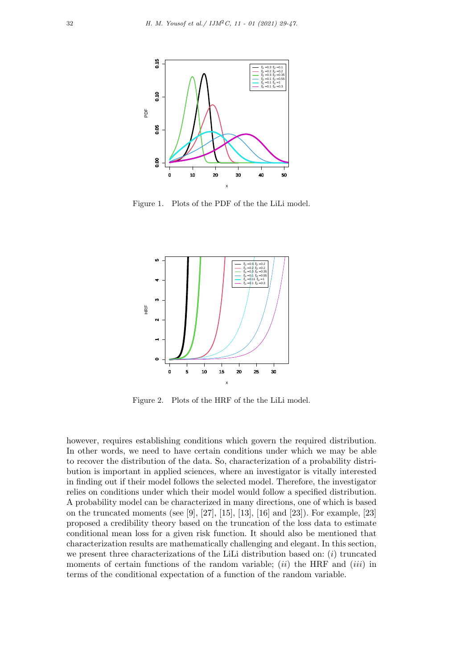

Figure 1. Plots of the PDF of the the LiLi model.



Figure 2. Plots of the HRF of the the LiLi model.

however, requires establishing conditions which govern the required distribution. In other words, we need to have certain conditions under which we may be able to recover the distribution of the data. So, characterization of a probability distribution is important in applied sciences, where an investigator is vitally interested in finding out if their model follows the selected model. Therefore, the investigator relies on conditions under which their model would follow a specified distribution. A probability model can be characterized in many directions, one of which is based on the truncated moments (see [9], [27], [15], [13], [16] and [23]). For example, [23] proposed a credibility theory based on the truncation of the loss data to estimate conditional mean loss for a given risk function. It should also be mentioned that characterization results are mathematically challenging and elegant. In this section, we present three characterizations of the LiLi distribution based on: (*i*) truncated moments of certain functions of the random variable; (*ii*) the HRF and (*iii*) in terms of the conditional expectation of a function of the random variable.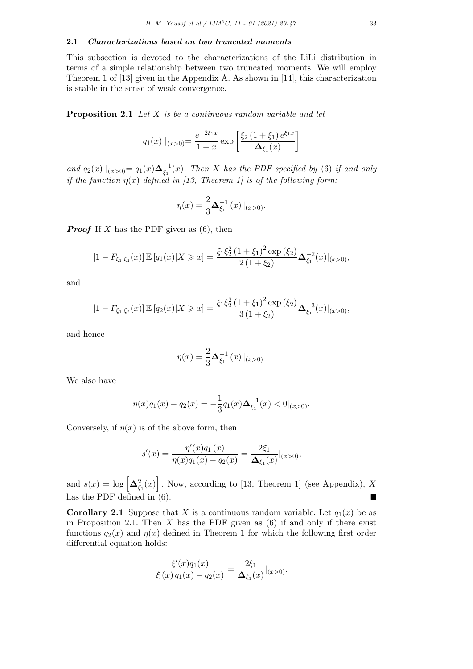This subsection is devoted to the characterizations of the LiLi distribution in terms of a simple relationship between two truncated moments. We will employ Theorem 1 of [13] given in the Appendix A. As shown in [14], this characterization is stable in the sense of weak convergence.

**Proposition 2.1** *Let X is be a continuous random variable and let*

$$
q_1(x) \mid_{(x>0)} = \frac{e^{-2\xi_1 x}}{1+x} \exp\left[\frac{\xi_2 (1+\xi_1) e^{\xi_1 x}}{\Delta_{\xi_1}(x)}\right]
$$

*and*  $q_2(x) |_{(x>0)} = q_1(x) \Delta_{\xi_1}^{-1}(x)$ . Then *X* has the PDF specified by (6) if and only *if the function*  $\eta(x)$  *defined in* [13, Theorem 1] is of the following form:

$$
\eta(x) = \frac{2}{3} \Delta_{\xi_1}^{-1}(x) |_{(x>0)}.
$$

*Proof* If *X* has the PDF given as (6), then

$$
[1 - F_{\xi_1, \xi_2}(x)] \mathbb{E}[q_1(x)|X \ge x] = \frac{\xi_1 \xi_2^2 (1 + \xi_1)^2 \exp(\xi_2)}{2(1 + \xi_2)} \Delta_{\xi_1}^{-2}(x)|_{(x > 0)},
$$

and

$$
[1 - F_{\xi_1, \xi_2}(x)] \mathbb{E} [q_2(x)|X \ge x] = \frac{\xi_1 \xi_2^2 (1 + \xi_1)^2 \exp(\xi_2)}{3(1 + \xi_2)} \Delta_{\xi_1}^{-3}(x)|_{(x > 0)},
$$

and hence

$$
\eta(x) = \frac{2}{3} \Delta_{\xi_1}^{-1}(x) |_{(x>0)}.
$$

We also have

$$
\eta(x)q_1(x) - q_2(x) = -\frac{1}{3}q_1(x)\Delta_{\xi_1}^{-1}(x) < 0|_{(x>0)}.
$$

Conversely, if  $\eta(x)$  is of the above form, then

$$
s'(x) = \frac{\eta'(x)q_1(x)}{\eta(x)q_1(x) - q_2(x)} = \frac{2\xi_1}{\Delta_{\xi_1}(x)}|_{(x>0)},
$$

and  $s(x) = \log \left[ \Delta_{\xi_1}^2(x) \right]$ . Now, according to [13, Theorem 1] (see Appendix), *X* has the PDF defined in  $(6)$ .

**Corollary 2.1** Suppose that *X* is a continuous random variable. Let  $q_1(x)$  be as in Proposition 2.1. Then *X* has the PDF given as (6) if and only if there exist functions  $q_2(x)$  and  $q(x)$  defined in Theorem 1 for which the following first order differential equation holds:

$$
\frac{\xi'(x)q_1(x)}{\xi(x)q_1(x) - q_2(x)} = \frac{2\xi_1}{\Delta_{\xi_1}(x)}|_{(x>0)}.
$$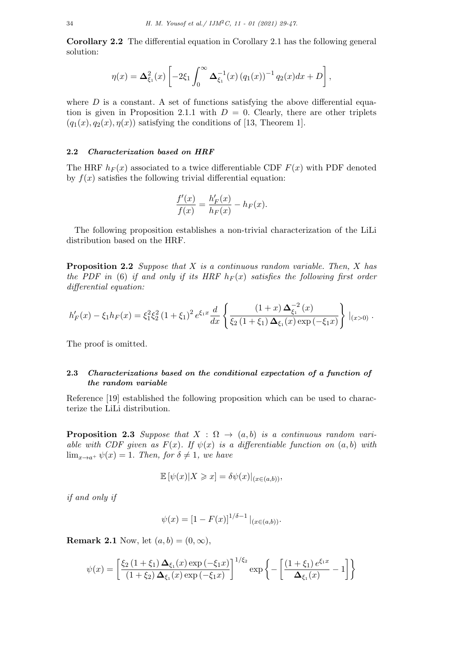**Corollary 2.2** The differential equation in Corollary 2.1 has the following general solution:

$$
\eta(x) = \Delta_{\xi_1}^2(x) \left[ -2\xi_1 \int_0^\infty \Delta_{\xi_1}^{-1}(x) (q_1(x))^{-1} q_2(x) dx + D \right],
$$

where  $D$  is a constant. A set of functions satisfying the above differential equation is given in Proposition 2.1.1 with  $D = 0$ . Clearly, there are other triplets  $(q_1(x), q_2(x), \eta(x))$  satisfying the conditions of [13, Theorem 1].

# **2.2** *Characterization based on HRF*

The HRF  $h_F(x)$  associated to a twice differentiable CDF  $F(x)$  with PDF denoted by  $f(x)$  satisfies the following trivial differential equation:

$$
\frac{f'(x)}{f(x)} = \frac{h'_F(x)}{h_F(x)} - h_F(x).
$$

The following proposition establishes a non-trivial characterization of the LiLi distribution based on the HRF.

**Proposition 2.2** *Suppose that X is a continuous random variable. Then, X has the PDF in* (6) *if and only if its HRF*  $h_F(x)$  *satisfies the following first order differential equation:*

$$
h'_F(x) - \xi_1 h_F(x) = \xi_1^2 \xi_2^2 (1 + \xi_1)^2 e^{\xi_1 x} \frac{d}{dx} \left\{ \frac{(1+x) \Delta_{\xi_1}^{-2}(x)}{\xi_2 (1 + \xi_1) \Delta_{\xi_1}(x) \exp(-\xi_1 x)} \right\} |_{(x>0)}.
$$

The proof is omitted.

# **2.3** *Characterizations based on the conditional expectation of a function of the random variable*

Reference [19] established the following proposition which can be used to characterize the LiLi distribution.

**Proposition 2.3** *Suppose that*  $X : \Omega \to (a, b)$  *is a continuous random variable with CDF given as*  $F(x)$ *. If*  $\psi(x)$  *is a differentiable function on*  $(a, b)$  *with* lim<sub>*x*→*a*+  $\psi(x) = 1$ *. Then, for*  $\delta \neq 1$ *, we have*</sub>

$$
\mathbb{E}[\psi(x)|X \geq x] = \delta \psi(x)|_{(x \in (a,b))},
$$

*if and only if*

$$
\psi(x) = [1 - F(x)]^{1/\delta - 1}|_{(x \in (a,b))}.
$$

**Remark 2.1** Now, let  $(a, b) = (0, \infty)$ ,

$$
\psi(x) = \left[ \frac{\xi_2 (1 + \xi_1) \Delta_{\xi_1}(x) \exp(-\xi_1 x)}{(1 + \xi_2) \Delta_{\xi_1}(x) \exp(-\xi_1 x)} \right]^{1/\xi_2} \exp \left\{-\left[ \frac{(1 + \xi_1) e^{\xi_1 x}}{\Delta_{\xi_1}(x)} - 1 \right] \right\}
$$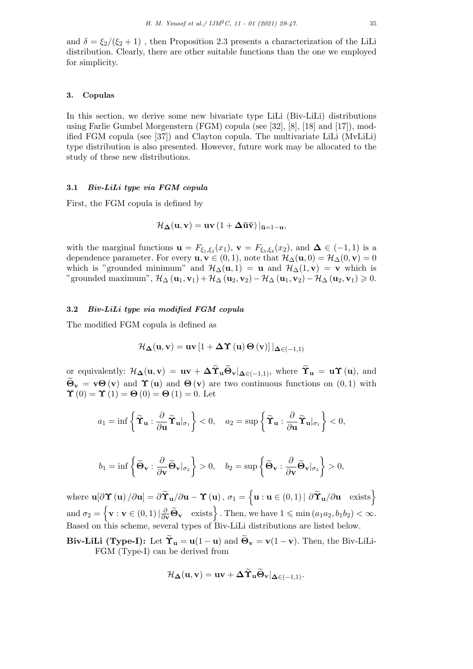and  $\delta = \frac{\xi_2}{\xi_2 + 1}$ , then Proposition 2.3 presents a characterization of the LiLi distribution. Clearly, there are other suitable functions than the one we employed for simplicity.

# **3. Copulas**

In this section, we derive some new bivariate type LiLi (Biv-LiLi) distributions using Farlie Gumbel Morgenstern (FGM) copula (see [32], [8], [18] and [17]), modified FGM copula (see [37]) and Clayton copula. The multivariate LiLi (MvLiLi) type distribution is also presented. However, future work may be allocated to the study of these new distributions.

# **3.1** *Biv-LiLi type via FGM copula*

First, the FGM copula is defined by

$$
\mathcal{H}_{\Delta}(\mathbf{u}, \mathbf{v}) = \mathbf{u}\mathbf{v} \left(1 + \Delta \mathbf{\bar{u}} \mathbf{\bar{v}}\right)|_{\mathbf{\bar{u}} = 1 - \mathbf{u}},
$$

with the marginal functions  $\mathbf{u} = F_{\xi_1,\xi_2}(x_1), \mathbf{v} = F_{\xi_3,\xi_4}(x_2), \text{ and } \mathbf{\Delta} \in (-1,1)$  is a dependence parameter. For every  $\mathbf{u}, \mathbf{v} \in (0,1)$ , note that  $\mathcal{H}_{\Delta}(\mathbf{u},0) = \mathcal{H}_{\Delta}(0,\mathbf{v}) = 0$ which is "grounded minimum" and  $\mathcal{H}_{\Delta}(\mathbf{u},1) = \mathbf{u}$  and  $\mathcal{H}_{\Delta}(1,\mathbf{v}) = \mathbf{v}$  which is "grounded maximum",  $\mathcal{H}_{\Delta}(\mathbf{u}_1, \mathbf{v}_1) + \mathcal{H}_{\Delta}(\mathbf{u}_2, \mathbf{v}_2) - \mathcal{H}_{\Delta}(\mathbf{u}_1, \mathbf{v}_2) - \mathcal{H}_{\Delta}(\mathbf{u}_2, \mathbf{v}_1) \geq 0.$ 

# **3.2** *Biv-LiLi type via modified FGM copula*

The modified FGM copula is defined as

$$
\mathcal{H}_{\Delta}(\mathbf{u}, \mathbf{v}) = \mathbf{u}\mathbf{v} \left[1 + \Delta \Upsilon\left(\mathbf{u}\right) \Theta\left(\mathbf{v}\right)\right] |_{\Delta \in (-1,1)}
$$

or equivalently:  $\mathcal{H}_{\Delta}(\mathbf{u}, \mathbf{v}) = \mathbf{u}\mathbf{v} + \Delta \widetilde{\Upsilon}_{\mathbf{u}} \widetilde{\Theta}_{\mathbf{v}}|_{\Delta \in (-1,1)}$ , where  $\widetilde{\Upsilon}_{\mathbf{u}} = \mathbf{u}\Upsilon(\mathbf{u})$ , and  $\ddot{\mathbf{\Theta}}_{\mathbf{v}} = \mathbf{v} \mathbf{\Theta}(\mathbf{v})$  and  $\mathbf{\Upsilon}(\mathbf{u})$  and  $\mathbf{\Theta}(\mathbf{v})$  are two continuous functions on  $(0,1)$  with  $\Upsilon(0) = \Upsilon(1) = \Theta(0) = \Theta(1) = 0$ **. Let** 

$$
a_1 = \inf \left\{ \widetilde{\mathbf{T}}_{\mathbf{u}} : \frac{\partial}{\partial \mathbf{u}} \widetilde{\mathbf{T}}_{\mathbf{u}} |_{\sigma_1} \right\} < 0, \quad a_2 = \sup \left\{ \widetilde{\mathbf{T}}_{\mathbf{u}} : \frac{\partial}{\partial \mathbf{u}} \widetilde{\mathbf{T}}_{\mathbf{u}} |_{\sigma_1} \right\} < 0,
$$

$$
b_1 = \inf \left\{ \widetilde{\Theta}_{\mathbf{v}} : \frac{\partial}{\partial \mathbf{v}} \widetilde{\Theta}_{\mathbf{v}} |_{\sigma_2} \right\} > 0, \quad b_2 = \sup \left\{ \widetilde{\Theta}_{\mathbf{v}} : \frac{\partial}{\partial \mathbf{v}} \widetilde{\Theta}_{\mathbf{v}} |_{\sigma_2} \right\} > 0,
$$

where  $\mathbf{u}[\partial \Upsilon(\mathbf{u}) / \partial \mathbf{u}] = \partial \widetilde{\Upsilon}_{\mathbf{u}} / \partial \mathbf{u} - \Upsilon(\mathbf{u}), \sigma_1 = \left\{ \mathbf{u} : \mathbf{u} \in (0,1) \, | \, \partial \widetilde{\Upsilon}_{\mathbf{u}} / \partial \mathbf{u} \right\}$  exists  $\text{and } \sigma_2 = \left\{ \mathbf{v} : \mathbf{v} \in (0,1) \, | \, \frac{\partial}{\partial \mathbf{v}} \widetilde{\mathbf{\Theta}}_{\mathbf{v}} \quad \text{exists} \right\}.$  Then, we have  $1 \leqslant \min(a_1 a_2, b_1 b_2) < \infty.$ Based on this scheme, several types of Biv-LiLi distributions are listed below.

**Biv-LiLi** (Type-I): Let  $\widetilde{\Upsilon}_{\mathbf{u}} = \mathbf{u}(1-\mathbf{u})$  and  $\widetilde{\Theta}_{\mathbf{v}} = \mathbf{v}(1-\mathbf{v})$ . Then, the Biv-LiLi-FGM (Type-I) can be derived from

$$
\mathcal{H}_{\boldsymbol{\Delta}}(\mathbf{u},\mathbf{v}) = \mathbf{u}\mathbf{v} + \boldsymbol{\Delta}\widetilde{\Upsilon}_{\mathbf{u}}\widetilde{\Theta}_{\mathbf{v}}|_{\boldsymbol{\Delta}\in(-1,1)}.
$$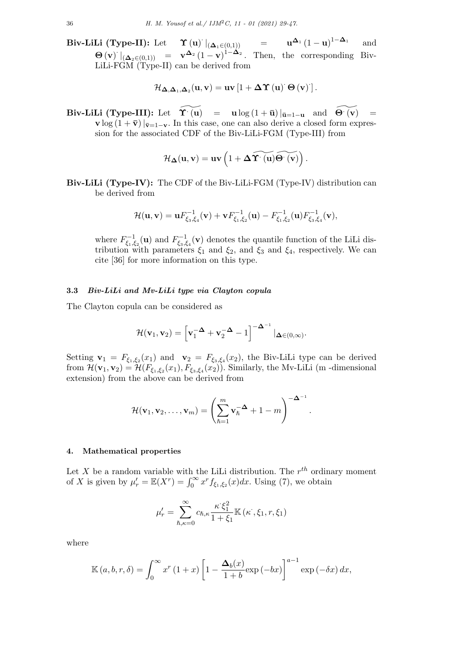**Biv-LiLi (Type-II):** Let *· <sup>|</sup>*(**∆**1*∈*(0*,*1)) <sup>=</sup> **<sup>u</sup>∆**<sup>1</sup> (1 *<sup>−</sup>* **<sup>u</sup>**) <sup>1</sup>*−***∆**<sup>1</sup> and  $\Theta(\mathbf{v}) \mid_{(\Delta_2 \in (0,1))} = \mathbf{v}^{\Delta_2} (1-\mathbf{v})^{1-\Delta_2}$ . Then, the corresponding Biv-LiLi-FGM (Type-II) can be derived from

$$
\mathcal{H}_{\mathbf{\Delta},\mathbf{\Delta}_1,\mathbf{\Delta}_2}(\mathbf{u},\mathbf{v}) = \mathbf{u}\mathbf{v}\left[1 + \mathbf{\Delta} \mathbf{\Upsilon}\left(\mathbf{u}\right)^\cdot \mathbf{\Theta}\left(\mathbf{v}\right)\right].
$$

**Biv-LiLi (Type-III):** Let  $\widetilde{\Upsilon}^{\cdot}(\mathbf{u}) = \mathbf{u} \log (1 + \bar{\mathbf{u}}) |_{\bar{\mathbf{u}} = 1 - \mathbf{u}}$  and  $\widetilde{\Theta}^{\cdot}(\mathbf{v}) =$ **v** log  $(1 + \bar{v})$  | $\bar{v}$ =1−**v**. In this case, one can also derive a closed form expression for the associated CDF of the Biv-LiLi-FGM (Type-III) from

$$
\mathcal{H}_{\Delta}(\mathbf{u},\mathbf{v})=\mathbf{u}\mathbf{v}\left(1+\Delta\widetilde{\Upsilon^{\cdot}\left(\mathbf{u}\right)}\widetilde{\Theta^{\cdot}\left(\mathbf{v}\right)}\right).
$$

**Biv-LiLi (Type-IV):** The CDF of the Biv-LiLi-FGM (Type-IV) distribution can be derived from

$$
\mathcal{H}(\mathbf{u},\mathbf{v})=\mathbf{u} F_{\xi_3,\xi_4}^{-1}(\mathbf{v})+\mathbf{v} F_{\xi_1,\xi_2}^{-1}(\mathbf{u})-F_{\xi_1,\xi_2}^{-1}(\mathbf{u})F_{\xi_3,\xi_4}^{-1}(\mathbf{v}),
$$

where  $F_{\xi_1,\xi_2}^{-1}(\mathbf{u})$  and  $F_{\xi_3,\xi_4}^{-1}(\mathbf{v})$  denotes the quantile function of the LiLi distribution with parameters  $\xi_1$  and  $\xi_2$ , and  $\xi_3$  and  $\xi_4$ , respectively. We can cite [36] for more information on this type.

# **3.3** *Biv-LiLi and Mv-LiLi type via Clayton copula*

The Clayton copula can be considered as

$$
\mathcal{H}(\mathbf{v}_1,\mathbf{v}_2) = \left[\mathbf{v}_1^{-\Delta} + \mathbf{v}_2^{-\Delta} - 1\right]^{-\Delta^{-1}} |_{\Delta \in (0,\infty)}.
$$

Setting  $\mathbf{v}_1 = F_{\xi_1,\xi_2}(x_1)$  and  $\mathbf{v}_2 = F_{\xi_3,\xi_4}(x_2)$ , the Biv-LiLi type can be derived from  $\mathcal{H}(\mathbf{v}_1, \mathbf{v}_2) = \mathcal{H}(F_{\xi_1, \xi_2}(x_1), F_{\xi_3, \xi_4}(x_2))$ . Similarly, the Mv-LiLi (m-dimensional extension) from the above can be derived from

$$
\mathcal{H}(\mathbf{v}_1, \mathbf{v}_2, \dots, \mathbf{v}_m) = \left(\sum_{\hbar=1}^m \mathbf{v}_\hbar^{-\Delta} + 1 - m\right)^{-\Delta^{-1}}.
$$

## **4. Mathematical properties**

Let *X* be a random variable with the LiLi distribution. The  $r^{th}$  ordinary moment of *X* is given by  $\mu'_{r} = \mathbb{E}(X^{r}) = \int_{0}^{\infty} x^{r} f_{\xi_{1}, \xi_{2}}(x) dx$ . Using (7), we obtain

$$
\mu'_{r} = \sum_{\hbar, \kappa = 0}^{\infty} c_{\hbar, \kappa} \frac{\kappa \xi_{1}^{2}}{1 + \xi_{1}} \mathbb{K} \left( \kappa^{\cdot}, \xi_{1}, r, \xi_{1} \right)
$$

where

$$
\mathbb{K}(a,b,r,\delta) = \int_0^\infty x^r (1+x) \left[1 - \frac{\Delta_b(x)}{1+b} \exp(-bx)\right]^{a-1} \exp(-\delta x) dx,
$$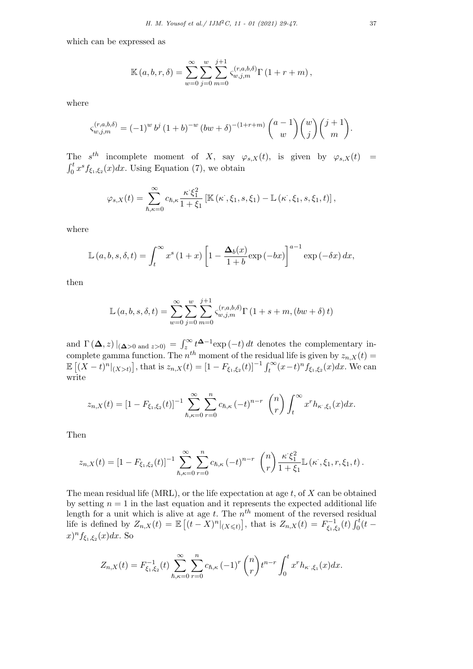which can be expressed as

$$
\mathbb{K}(a, b, r, \delta) = \sum_{w=0}^{\infty} \sum_{j=0}^{w} \sum_{m=0}^{j+1} \zeta_{w, j, m}^{(r, a, b, \delta)} \Gamma(1 + r + m),
$$

where

$$
\varsigma_{w,j,m}^{(r,a,b,\delta)} = (-1)^w b^j (1+b)^{-w} (bw+\delta)^{-(1+r+m)} {a-1 \choose w} {w \choose j} {j+1 \choose m}.
$$

The  $s^{th}$  incomplete moment of *X*, say  $\varphi_{s,X}(t)$ , is given by  $\varphi_{s,X}(t)$  =  $\int_0^t x^s f_{\xi_1,\xi_2}(x) dx$ . Using Equation (7), we obtain

$$
\varphi_{s,X}(t) = \sum_{\hbar, \kappa=0}^{\infty} c_{\hbar, \kappa} \frac{\kappa \zeta_1^2}{1+\xi_1} \left[ \mathbb{K} \left( \kappa^{\cdot}, \xi_1, s, \xi_1 \right) - \mathbb{L} \left( \kappa^{\cdot}, \xi_1, s, \xi_1, t \right) \right],
$$

where

$$
\mathbb{L}(a,b,s,\delta,t) = \int_t^{\infty} x^s (1+x) \left[1 - \frac{\Delta_b(x)}{1+b} \exp(-bx)\right]^{a-1} \exp(-\delta x) dx,
$$

then

$$
\mathbb{L}(a, b, s, \delta, t) = \sum_{w=0}^{\infty} \sum_{j=0}^{w} \sum_{m=0}^{j+1} \zeta_{w,j,m}^{(r,a,b,\delta)} \Gamma(1+s+m, (bw+\delta) t)
$$

and  $\Gamma(\Delta, z)|_{(\Delta>0 \text{ and } z>0)} = \int_z^{\infty} t^{\Delta-1} \exp(-t) dt$  denotes the complementary incomplete gamma function. The  $n^{th}$  moment of the residual life is given by  $z_{n,X}(t) =$  $\mathbb{E}[(X-t)^n|_{(X>t)}]$ , that is  $z_{n,X}(t) = [1 - F_{\xi_1,\xi_2}(t)]^{-1} \int_t^{\infty} (x-t)^n f_{\xi_1,\xi_2}(x) dx$ . We can write

$$
z_{n,X}(t) = \left[1 - F_{\xi_1,\xi_2}(t)\right]^{-1} \sum_{\hbar,\kappa=0}^{\infty} \sum_{r=0}^{n} c_{\hbar,\kappa} \left(-t\right)^{n-r} \binom{n}{r} \int_{t}^{\infty} x^{r} h_{\kappa,\xi_1}(x) dx.
$$

Then

$$
z_{n,X}(t) = [1 - F_{\xi_1,\xi_2}(t)]^{-1} \sum_{\hbar,\kappa=0}^{\infty} \sum_{r=0}^{n} c_{\hbar,\kappa} (-t)^{n-r} \binom{n}{r} \frac{\kappa \xi_1^2}{1+\xi_1} \mathbb{L}(\kappa^{\cdot}, \xi_1, r, \xi_1, t).
$$

The mean residual life (MRL), or the life expectation at age *t*, of *X* can be obtained by setting  $n = 1$  in the last equation and it represents the expected additional life length for a unit which is alive at age  $t$ . The  $n<sup>th</sup>$  moment of the reversed residual life is defined by  $Z_{n,X}(t) = \mathbb{E}[(t-X)^n|_{(X \le t)}]$ , that is  $Z_{n,X}(t) = F_{\xi_1,\xi_2}^{-1}(t) \int_0^t (t-s)^{n-1} \, ds$  $f_{\xi_1,\xi_2}(x)dx$ . So

$$
Z_{n,X}(t) = F_{\xi_1,\xi_2}^{-1}(t) \sum_{\hbar,\kappa=0}^{\infty} \sum_{r=0}^{n} c_{\hbar,\kappa} (-1)^r {n \choose r} t^{n-r} \int_0^t x^r h_{\kappa,\xi_1}(x) dx.
$$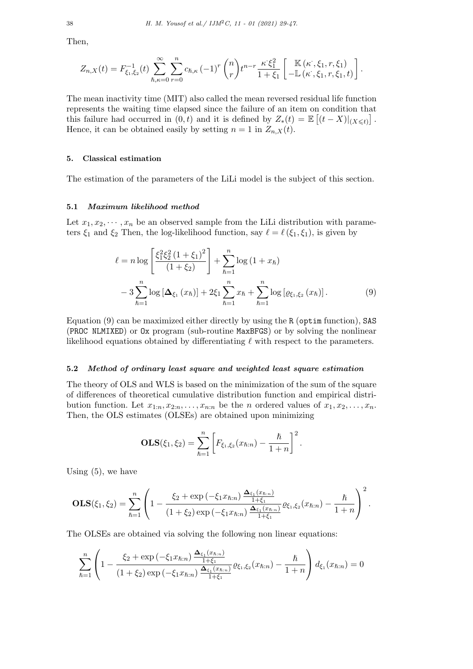Then,

$$
Z_{n,X}(t) = F_{\xi_1,\xi_2}^{-1}(t) \sum_{\hbar,\kappa=0}^{\infty} \sum_{r=0}^{n} c_{\hbar,\kappa} (-1)^r {n \choose r} t^{n-r} \frac{\kappa \xi_1^2}{1+\xi_1} \left[ \begin{array}{c} \mathbb{K}(\kappa^{\cdot}, \xi_1, r, \xi_1) \\ -\mathbb{L}(\kappa^{\cdot}, \xi_1, r, \xi_1, t) \end{array} \right].
$$

The mean inactivity time (MIT) also called the mean reversed residual life function represents the waiting time elapsed since the failure of an item on condition that this failure had occurred in  $(0, t)$  and it is defined by  $Z_*(t) = \mathbb{E}[(t - X)|_{(X \leq t)}].$ Hence, it can be obtained easily by setting  $n = 1$  in  $Z_{n,X}(t)$ .

#### **5. Classical estimation**

The estimation of the parameters of the LiLi model is the subject of this section.

#### **5.1** *Maximum likelihood method*

Let  $x_1, x_2, \dots, x_n$  be an observed sample from the LiLi distribution with parameters  $\xi_1$  and  $\xi_2$  Then, the log-likelihood function, say  $\ell = \ell(\xi_1, \xi_1)$ , is given by

$$
\ell = n \log \left[ \frac{\xi_1^2 \xi_2^2 (1 + \xi_1)^2}{(1 + \xi_2)} \right] + \sum_{\hbar=1}^n \log (1 + x_\hbar)
$$
  
- 3 
$$
\sum_{\hbar=1}^n \log [\Delta_{\xi_1} (x_\hbar)] + 2\xi_1 \sum_{\hbar=1}^n x_\hbar + \sum_{\hbar=1}^n \log [\varrho_{\xi_1, \xi_2} (x_\hbar)]. \tag{9}
$$

Equation (9) can be maximized either directly by using the R (optim function), SAS (PROC NLMIXED) or Ox program (sub-routine MaxBFGS) or by solving the nonlinear likelihood equations obtained by differentiating *ℓ* with respect to the parameters.

# **5.2** *Method of ordinary least square and weighted least square estimation*

The theory of OLS and WLS is based on the minimization of the sum of the square of differences of theoretical cumulative distribution function and empirical distribution function. Let  $x_{1:n}, x_{2:n}, \ldots, x_{n:n}$  be the *n* ordered values of  $x_1, x_2, \ldots, x_n$ . Then, the OLS estimates (OLSEs) are obtained upon minimizing

$$
OLS(\xi_1, \xi_2) = \sum_{\hbar=1}^n \left[ F_{\xi_1, \xi_2}(x_{\hbar:n}) - \frac{\hbar}{1+n} \right]^2.
$$

Using  $(5)$ , we have

$$
\mathbf{OLS}(\xi_1,\xi_2)=\sum_{\hbar=1}^n\left(1-\frac{\xi_2+\exp\left(-\xi_1x_{\hbar:n}\right)\frac{\mathbf{\Delta}_{\xi_1}(x_{\hbar:n})}{1+\xi_1}}{(1+\xi_2)\exp\left(-\xi_1x_{\hbar:n}\right)\frac{\mathbf{\Delta}_{\xi_1}(x_{\hbar:n})}{1+\xi_1}}\varrho_{\xi_1,\xi_2}(x_{\hbar:n})-\frac{\hbar}{1+n}\right)^2.
$$

The OLSEs are obtained via solving the following non linear equations:

$$
\sum_{\hbar=1}^{n} \left(1 - \frac{\xi_2 + \exp\left(-\xi_1 x_{\hbar:n}\right) \frac{\Delta_{\xi_1}(x_{\hbar:n})}{1+\xi_1}}{(1+\xi_2)\exp\left(-\xi_1 x_{\hbar:n}\right) \frac{\Delta_{\xi_1}(x_{\hbar:n})}{1+\xi_1}} \varrho_{\xi_1,\xi_2}(x_{\hbar:n}) - \frac{\hbar}{1+n}\right) d_{\xi_1}(x_{\hbar:n}) = 0
$$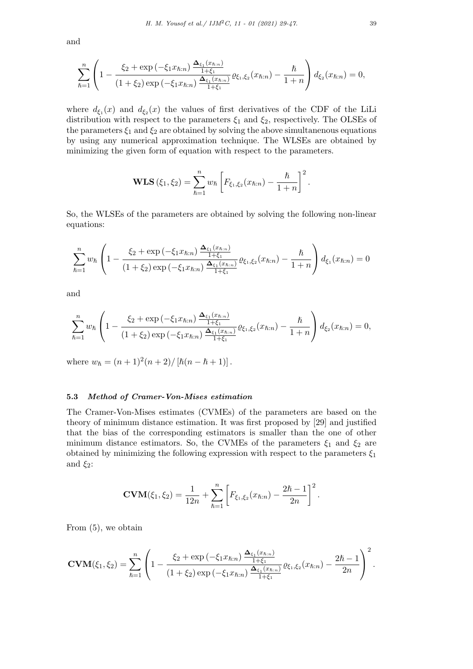and

$$
\sum_{\hbar=1}^n \left(1 - \frac{\xi_2 + \exp(-\xi_1 x_{\hbar:n}) \frac{\Delta_{\xi_1}(x_{\hbar:n})}{1+\xi_1}}{(1+\xi_2) \exp(-\xi_1 x_{\hbar:n}) \frac{\Delta_{\xi_1}(x_{\hbar:n})}{1+\xi_1}} \varrho_{\xi_1,\xi_2}(x_{\hbar:n}) - \frac{\hbar}{1+n}\right) d_{\xi_2}(x_{\hbar:n}) = 0,
$$

where  $d_{\xi_1}(x)$  and  $d_{\xi_2}(x)$  the values of first derivatives of the CDF of the LiLi distribution with respect to the parameters  $\xi_1$  and  $\xi_2$ , respectively. The OLSEs of the parameters  $\xi_1$  and  $\xi_2$  are obtained by solving the above simultanenous equations by using any numerical approximation technique. The WLSEs are obtained by minimizing the given form of equation with respect to the parameters.

**WLS** 
$$
(\xi_1, \xi_2) = \sum_{\hbar=1}^n w_{\hbar} \left[ F_{\xi_1, \xi_2}(x_{\hbar:n}) - \frac{\hbar}{1+n} \right]^2.
$$

So, the WLSEs of the parameters are obtained by solving the following non-linear equations:

$$
\sum_{\hbar=1}^{n} w_{\hbar} \left( 1 - \frac{\xi_2 + \exp\left(-\xi_1 x_{\hbar:n}\right) \frac{\Delta_{\xi_1}(x_{\hbar:n})}{1 + \xi_1}}{\left( 1 + \xi_2\right) \exp\left(-\xi_1 x_{\hbar:n}\right) \frac{\Delta_{\xi_1}(x_{\hbar:n})}{1 + \xi_1}} \varrho_{\xi_1, \xi_2}(x_{\hbar:n}) - \frac{\hbar}{1 + n} \right) d_{\xi_1}(x_{\hbar:n}) = 0
$$

and

$$
\sum_{\hbar=1}^{n} w_{\hbar} \left( 1 - \frac{\xi_2 + \exp\left(-\xi_1 x_{\hbar:n}\right) \frac{\Delta_{\xi_1}(x_{\hbar:n})}{1+\xi_1}}{(1+\xi_2) \exp\left(-\xi_1 x_{\hbar:n}\right) \frac{\Delta_{\xi_1}(x_{\hbar:n})}{1+\xi_1}} \varrho_{\xi_1,\xi_2}(x_{\hbar:n}) - \frac{\hbar}{1+n} \right) d_{\xi_2}(x_{\hbar:n}) = 0,
$$

where  $w_{\hbar} = (n+1)^2(n+2)/[\hbar(n-\hbar+1)]$ .

## **5.3** *Method of Cramer-Von-Mises estimation*

The Cramer-Von-Mises estimates (CVMEs) of the parameters are based on the theory of minimum distance estimation. It was first proposed by [29] and justified that the bias of the corresponding estimators is smaller than the one of other minimum distance estimators. So, the CVMEs of the parameters  $\xi_1$  and  $\xi_2$  are obtained by minimizing the following expression with respect to the parameters  $\xi_1$ and  $\xi_2$ :

$$
CVM(\xi_1, \xi_2) = \frac{1}{12n} + \sum_{\hbar=1}^n \left[ F_{\xi_1, \xi_2}(x_{\hbar:n}) - \frac{2\hbar - 1}{2n} \right]^2.
$$

From (5), we obtain

$$
\text{CVM}(\xi_1,\xi_2) = \sum_{\hbar=1}^n \left(1 - \frac{\xi_2 + \exp\left(-\xi_1 x_{\hbar:n}\right) \frac{\Delta_{\xi_1}(x_{\hbar:n})}{1+\xi_1}}{(1+\xi_2)\exp\left(-\xi_1 x_{\hbar:n}\right) \frac{\Delta_{\xi_1}(x_{\hbar:n})}{1+\xi_1}} \varrho_{\xi_1,\xi_2}(x_{\hbar:n}) - \frac{2\hbar - 1}{2n}\right)^2.
$$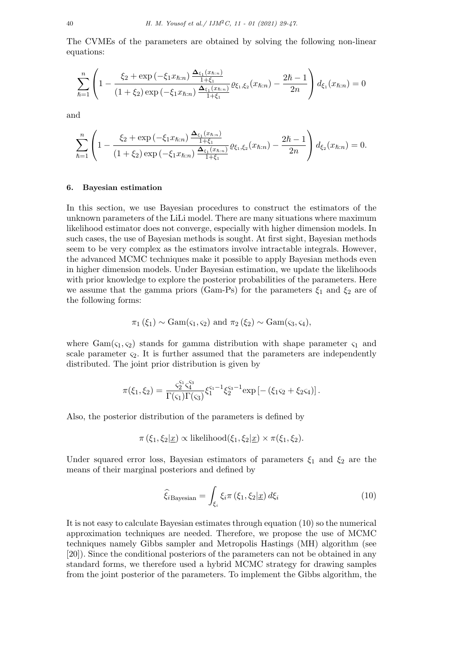The CVMEs of the parameters are obtained by solving the following non-linear equations:

$$
\sum_{\hbar=1}^{n} \left(1 - \frac{\xi_2 + \exp\left(-\xi_1 x_{\hbar:n}\right) \frac{\Delta_{\xi_1}(x_{\hbar:n})}{1+\xi_1}}{(1+\xi_2)\exp\left(-\xi_1 x_{\hbar:n}\right) \frac{\Delta_{\xi_1}(x_{\hbar:n})}{1+\xi_1}} \varrho_{\xi_1,\xi_2}(x_{\hbar:n}) - \frac{2\hbar - 1}{2n}\right) d_{\xi_1}(x_{\hbar:n}) = 0
$$

and

$$
\sum_{\hbar=1}^{n} \left(1 - \frac{\xi_2 + \exp\left(-\xi_1 x_{\hbar:n}\right) \frac{\Delta_{\xi_1}(x_{\hbar:n})}{1+\xi_1}}{(1+\xi_2)\exp\left(-\xi_1 x_{\hbar:n}\right) \frac{\Delta_{\xi_1}(x_{\hbar:n})}{1+\xi_1}} \varrho_{\xi_1,\xi_2}(x_{\hbar:n}) - \frac{2\hbar - 1}{2n}\right) d_{\xi_2}(x_{\hbar:n}) = 0.
$$

#### **6. Bayesian estimation**

In this section, we use Bayesian procedures to construct the estimators of the unknown parameters of the LiLi model. There are many situations where maximum likelihood estimator does not converge, especially with higher dimension models. In such cases, the use of Bayesian methods is sought. At first sight, Bayesian methods seem to be very complex as the estimators involve intractable integrals. However, the advanced MCMC techniques make it possible to apply Bayesian methods even in higher dimension models. Under Bayesian estimation, we update the likelihoods with prior knowledge to explore the posterior probabilities of the parameters. Here we assume that the gamma priors (Gam-Ps) for the parameters  $\xi_1$  and  $\xi_2$  are of the following forms:

$$
\pi_1(\xi_1) \sim \text{Gam}(\varsigma_1, \varsigma_2) \text{ and } \pi_2(\xi_2) \sim \text{Gam}(\varsigma_3, \varsigma_4),
$$

where  $Gam(\varsigma_1, \varsigma_2)$  stands for gamma distribution with shape parameter  $\varsigma_1$  and scale parameter  $\varsigma_2$ . It is further assumed that the parameters are independently distributed. The joint prior distribution is given by

$$
\pi(\xi_1,\xi_2)=\frac{\varsigma_2^{\varsigma_1}\varsigma_4^{\varsigma_3}}{\Gamma(\varsigma_1)\Gamma(\varsigma_3)}\xi_1^{\varsigma_1-1}\xi_2^{\varsigma_3-1}\mathrm{exp}\left[-\left(\xi_1\varsigma_2+\xi_2\varsigma_4\right)\right].
$$

Also, the posterior distribution of the parameters is defined by

$$
\pi(\xi_1, \xi_2 | \underline{x}) \propto
$$
 likelihood $(\xi_1, \xi_2 | \underline{x}) \times \pi(\xi_1, \xi_2)$ .

Under squared error loss, Bayesian estimators of parameters  $\xi_1$  and  $\xi_2$  are the means of their marginal posteriors and defined by

$$
\widehat{\xi}_{i\text{Bayesian}} = \int_{\xi_{i}} \xi_{i} \pi \left(\xi_{1}, \xi_{2} | \underline{x}\right) d\xi_{i} \tag{10}
$$

It is not easy to calculate Bayesian estimates through equation (10) so the numerical approximation techniques are needed. Therefore, we propose the use of MCMC techniques namely Gibbs sampler and Metropolis Hastings (MH) algorithm (see [20]). Since the conditional posteriors of the parameters can not be obtained in any standard forms, we therefore used a hybrid MCMC strategy for drawing samples from the joint posterior of the parameters. To implement the Gibbs algorithm, the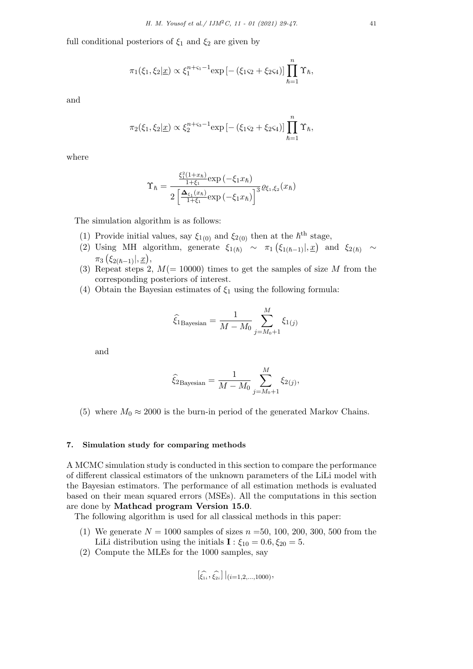full conditional posteriors of  $\xi_1$  and  $\xi_2$  are given by

$$
\pi_1(\xi_1, \xi_2 | \underline{x}) \propto \xi_1^{n+\varsigma_1-1} \exp \left[ -(\xi_1 \varsigma_2 + \xi_2 \varsigma_4) \right] \prod_{\hbar=1}^n \Upsilon_{\hbar},
$$

and

$$
\pi_2(\xi_1, \xi_2 | \underline{x}) \propto \xi_2^{n+\varsigma_3-1} \exp\left[-\left(\xi_1 \varsigma_2 + \xi_2 \varsigma_4\right)\right] \prod_{\hbar=1}^n \Upsilon_{\hbar},
$$

where

$$
\Upsilon_{\hbar} = \frac{\frac{\xi_1^2 (1+x_{\hbar})}{1+\xi_1} \exp\left(-\xi_1 x_{\hbar}\right)}{2\left[\frac{\Delta_{\xi_1}(x_{\hbar})}{1+\xi_1} \exp\left(-\xi_1 x_{\hbar}\right)\right]^3} \varrho_{\xi_1, \xi_2}(x_{\hbar})
$$

The simulation algorithm is as follows:

- (1) Provide initial values, say  $\xi_{1(0)}$  and  $\xi_{2(0)}$  then at the  $\hbar^{th}$  stage,
- (2) Using MH algorithm, generate  $\xi_{1(\hbar)} \sim \pi_1(\xi_{1(\hbar-1)}|,\underline{x})$  and  $\xi_{2(\hbar)} \sim$ *π*3 *<sup>ξ</sup>*2(ℏ*−*1)*|, x* ,
- (3) Repeat steps 2,  $M(= 10000)$  times to get the samples of size M from the corresponding posteriors of interest.
- (4) Obtain the Bayesian estimates of *ξ*<sup>1</sup> using the following formula:

$$
\widehat{\xi}_{1\text{Bayesian}} = \frac{1}{M - M_0} \sum_{j=M_0+1}^{M} \xi_{1(j)}
$$

and

$$
\hat{\xi}_{2\text{Bayesian}} = \frac{1}{M - M_0} \sum_{j=M_0+1}^{M} \xi_{2(j)},
$$

(5) where  $M_0 \approx 2000$  is the burn-in period of the generated Markov Chains.

## **7. Simulation study for comparing methods**

A MCMC simulation study is conducted in this section to compare the performance of different classical estimators of the unknown parameters of the LiLi model with the Bayesian estimators. The performance of all estimation methods is evaluated based on their mean squared errors (MSEs). All the computations in this section are done by **Mathcad program Version 15.0**.

The following algorithm is used for all classical methods in this paper:

- (1) We generate  $N = 1000$  samples of sizes  $n = 50, 100, 200, 300, 500$  from the LiLi distribution using the initials  $\mathbf{I} : \xi_{10} = 0.6, \xi_{20} = 5$ .
- (2) Compute the MLEs for the 1000 samples, say

$$
[\widehat{\xi_{1i}}, \widehat{\xi_{2i}}] |_{(i=1,2,\ldots,1000)},
$$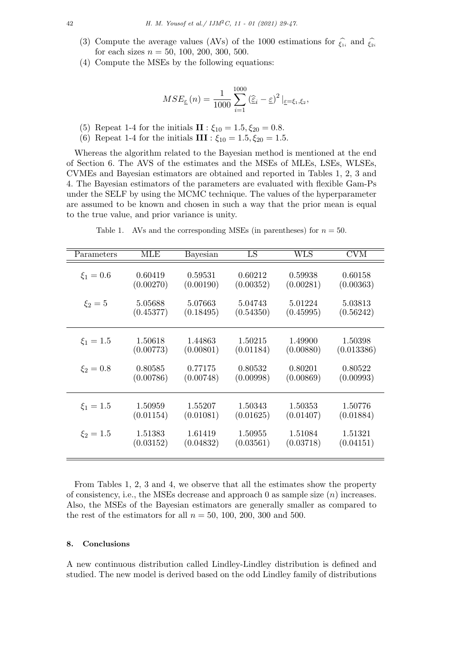- (3) Compute the average values (AVs) of the 1000 estimations for  $\hat{\xi}_i$  and  $\hat{\xi}_i$ <sup>2<sub>i</sub></sub> for each sizes  $n = 50, 100, 200, 300, 500$ </sup> for each sizes  $n = 50, 100, 200, 300, 500$ .
- (4) Compute the MSEs by the following equations:

$$
MSE_{\underline{\varepsilon}}(n) = \frac{1}{1000} \sum_{i=1}^{1000} (\widehat{\underline{\varepsilon}}_i - \underline{\varepsilon})^2 |_{\underline{\varepsilon} = \xi_1, \xi_2},
$$

- (5) Repeat 1-4 for the initials  $\mathbf{II} : \xi_{10} = 1.5, \xi_{20} = 0.8$ .
- (6) Repeat 1-4 for the initials  $III : \xi_{10} = 1.5, \xi_{20} = 1.5$ .

Whereas the algorithm related to the Bayesian method is mentioned at the end of Section 6. The AVS of the estimates and the MSEs of MLEs, LSEs, WLSEs, CVMEs and Bayesian estimators are obtained and reported in Tables 1, 2, 3 and 4. The Bayesian estimators of the parameters are evaluated with flexible Gam-Ps under the SELF by using the MCMC technique. The values of the hyperparameter are assumed to be known and chosen in such a way that the prior mean is equal to the true value, and prior variance is unity.

| Parameters    | MLE       | Bayesian  | LS        | $\rm WLS$ | <b>CVM</b> |
|---------------|-----------|-----------|-----------|-----------|------------|
| $\xi_1 = 0.6$ | 0.60419   | 0.59531   | 0.60212   | 0.59938   | 0.60158    |
|               | (0.00270) | (0.00190) | (0.00352) | (0.00281) | (0.00363)  |
| $\xi_2 = 5$   | 5.05688   | 5.07663   | 5.04743   | 5.01224   | 5.03813    |
|               | (0.45377) | (0.18495) | (0.54350) | (0.45995) | (0.56242)  |
| $\xi_1 = 1.5$ | 1.50618   | 1.44863   | 1.50215   | 1.49900   | 1.50398    |
|               | (0.00773) | (0.00801) | (0.01184) | (0.00880) | (0.013386) |
| $\xi_2 = 0.8$ | 0.80585   | 0.77175   | 0.80532   | 0.80201   | 0.80522    |
|               | (0.00786) | (0.00748) | (0.00998) | (0.00869) | (0.00993)  |
| $\xi_1 = 1.5$ | 1.50959   | 1.55207   | 1.50343   | 1.50353   | 1.50776    |
|               | (0.01154) | (0.01081) | (0.01625) | (0.01407) | (0.01884)  |
| $\xi_2 = 1.5$ | 1.51383   | 1.61419   | 1.50955   | 1.51084   | 1.51321    |
|               | (0.03152) | (0.04832) | (0.03561) | (0.03718) | (0.04151)  |

Table 1. AVs and the corresponding MSEs (in parentheses) for  $n = 50$ .

From Tables 1, 2, 3 and 4, we observe that all the estimates show the property of consistency, i.e., the MSEs decrease and approach 0 as sample size (*n*) increases. Also, the MSEs of the Bayesian estimators are generally smaller as compared to the rest of the estimators for all  $n = 50, 100, 200, 300$  and 500.

# **8. Conclusions**

A new continuous distribution called Lindley-Lindley distribution is defined and studied. The new model is derived based on the odd Lindley family of distributions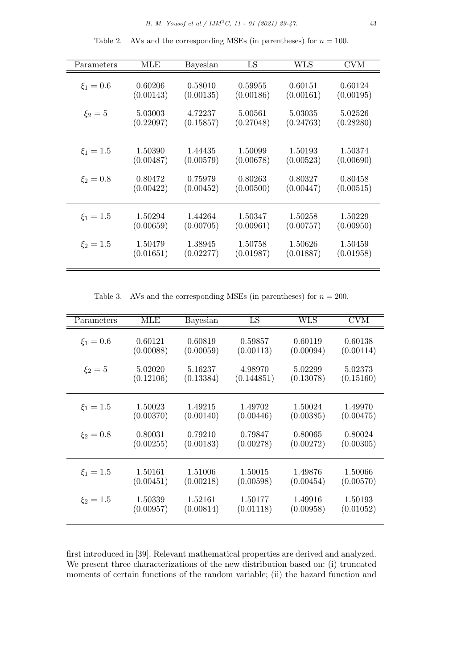Table 2. AVs and the corresponding MSEs (in parentheses) for  $n = 100$ .

| Parameters    | <b>MLE</b> | Bayesian  | LS        | WLS       | $\overline{\rm CVM}$ |
|---------------|------------|-----------|-----------|-----------|----------------------|
| $\xi_1 = 0.6$ | 0.60206    | 0.58010   | 0.59955   | 0.60151   | 0.60124              |
|               | (0.00143)  | (0.00135) | (0.00186) | (0.00161) | (0.00195)            |
| $\xi_2 = 5$   | 5.03003    | 4.72237   | 5.00561   | 5.03035   | 5.02526              |
|               | (0.22097)  | (0.15857) | (0.27048) | (0.24763) | (0.28280)            |
| $\xi_1 = 1.5$ | 1.50390    | 1.44435   | 1.50099   | 1.50193   | 1.50374              |
|               | (0.00487)  | (0.00579) | (0.00678) | (0.00523) | (0.00690)            |
| $\xi_2 = 0.8$ | 0.80472    | 0.75979   | 0.80263   | 0.80327   | 0.80458              |
|               | (0.00422)  | (0.00452) | (0.00500) | (0.00447) | (0.00515)            |
| $\xi_1 = 1.5$ | 1.50294    | 1.44264   | 1.50347   | 1.50258   | 1.50229              |
|               | (0.00659)  | (0.00705) | (0.00961) | (0.00757) | (0.00950)            |
| $\xi_2 = 1.5$ | 1.50479    | 1.38945   | 1.50758   | 1.50626   | 1.50459              |
|               | (0.01651)  | (0.02277) | (0.01987) | (0.01887) | (0.01958)            |

Table 3. AVs and the corresponding MSEs (in parentheses) for  $n = 200$ .

| Parameters    | MLE       |           | $\overline{\rm LS}$ | WLS       | CVM       |
|---------------|-----------|-----------|---------------------|-----------|-----------|
|               |           | Bayesian  |                     |           |           |
| $\xi_1 = 0.6$ | 0.60121   | 0.60819   | 0.59857             | 0.60119   | 0.60138   |
|               | (0.00088) | (0.00059) | (0.00113)           | (0.00094) | (0.00114) |
| $\xi_2 = 5$   | 5.02020   | 5.16237   | 4.98970             | 5.02299   | 5.02373   |
|               | (0.12106) | (0.13384) | (0.144851)          | (0.13078) | (0.15160) |
| $\xi_1 = 1.5$ | 1.50023   | 1.49215   | 1.49702             | 1.50024   | 1.49970   |
|               | (0.00370) | (0.00140) | (0.00446)           | (0.00385) | (0.00475) |
| $\xi_2 = 0.8$ | 0.80031   | 0.79210   | 0.79847             | 0.80065   | 0.80024   |
|               | (0.00255) | (0.00183) | (0.00278)           | (0.00272) | (0.00305) |
| $\xi_1 = 1.5$ | 1.50161   | 1.51006   | 1.50015             | 1.49876   | 1.50066   |
|               | (0.00451) | (0.00218) | (0.00598)           | (0.00454) | (0.00570) |
| $\xi_2 = 1.5$ | 1.50339   | 1.52161   | 1.50177             | 1.49916   | 1.50193   |
|               | (0.00957) | (0.00814) | (0.01118)           | (0.00958) | (0.01052) |

first introduced in [39]. Relevant mathematical properties are derived and analyzed. We present three characterizations of the new distribution based on: (i) truncated moments of certain functions of the random variable; (ii) the hazard function and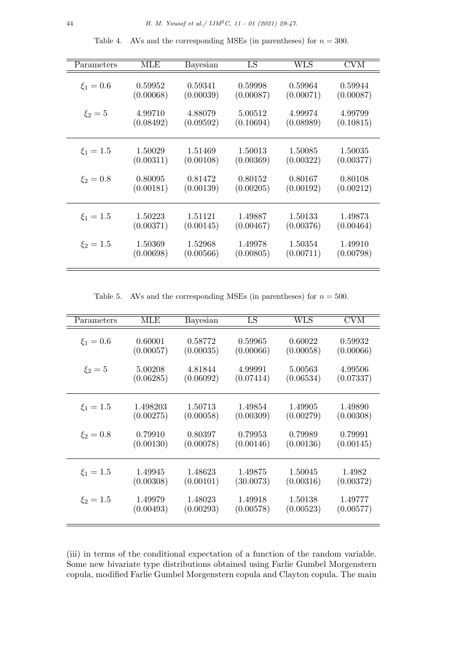| Parameters    | MLE       | Bayesian  | LS        | $_{\rm WLS}$ | <b>CVM</b> |
|---------------|-----------|-----------|-----------|--------------|------------|
| $\xi_1 = 0.6$ | 0.59952   | 0.59341   | 0.59998   | 0.59964      | 0.59944    |
|               | (0.00068) | (0.00039) | (0.00087) | (0.00071)    | (0.00087)  |
| $\xi_2 = 5$   | 4.99710   | 4.88079   | 5.00512   | 4.99974      | 4.99799    |
|               | (0.08492) | (0.09592) | (0.10694) | (0.08989)    | (0.10815)  |
| $\xi_1 = 1.5$ | 1.50029   | 1.51469   | 1.50013   | 1.50085      | 1.50035    |
|               | (0.00311) | (0.00108) | (0.00369) | (0.00322)    | (0.00377)  |
| $\xi_2 = 0.8$ | 0.80095   | 0.81472   | 0.80152   | 0.80167      | 0.80108    |
|               | (0.00181) | (0.00139) | (0.00205) | (0.00192)    | (0.00212)  |
| $\xi_1 = 1.5$ | 1.50223   | 1.51121   | 1.49887   | 1.50133      | 1.49873    |
|               | (0.00371) | (0.00145) | (0.00467) | (0.00376)    | (0.00464)  |
| $\xi_2 = 1.5$ | 1.50369   | 1.52968   | 1.49978   | 1.50354      | 1.49910    |
|               | (0.00698) | (0.00566) | (0.00805) | (0.00711)    | (0.00798)  |

Table 4. AVs and the corresponding MSEs (in parentheses) for  $n = 300$ .

Table 5. AVs and the corresponding MSEs (in parentheses) for  $n = 500$ .

| Parameters    | $\overline{\text{MLE}}$ | Bayesian  | $_{\rm LS}$ | ${\rm WLS}$ | $\overline{\rm CVM}$ |
|---------------|-------------------------|-----------|-------------|-------------|----------------------|
| $\xi_1 = 0.6$ | 0.60001                 | 0.58772   | 0.59965     | 0.60022     | 0.59932              |
|               | (0.00057)               | (0.00035) | (0.00066)   | (0.00058)   | (0.00066)            |
| $\xi_2 = 5$   | 5.00208                 | 4.81844   | 4.99991     | 5.00563     | 4.99506              |
|               | (0.06285)               | (0.06092) | (0.07414)   | (0.06534)   | (0.07337)            |
| $\xi_1 = 1.5$ | 1.498203                | 1.50713   | 1.49854     | 1.49905     | 1.49890              |
|               | (0.00275)               | (0.00058) | (0.00309)   | (0.00279)   | (0.00308)            |
| $\xi_2 = 0.8$ | 0.79910                 | 0.80397   | 0.79953     | 0.79989     | 0.79991              |
|               | (0.00130)               | (0.00078) | (0.00146)   | (0.00136)   | (0.00145)            |
| $\xi_1 = 1.5$ | 1.49945                 | 1.48623   | 1.49875     | 1.50045     | 1.4982               |
|               | (0.00308)               | (0.00101) | (30.0073)   | (0.00316)   | (0.00372)            |
| $\xi_2 = 1.5$ | 1.49979                 | 1.48023   | 1.49918     | 1.50138     | 1.49777              |
|               | (0.00493)               | (0.00293) | (0.00578)   | (0.00523)   | (0.00577)            |

(iii) in terms of the conditional expectation of a function of the random variable. Some new bivariate type distributions obtained using Farlie Gumbel Morgenstern copula, modified Farlie Gumbel Morgenstern copula and Clayton copula. The main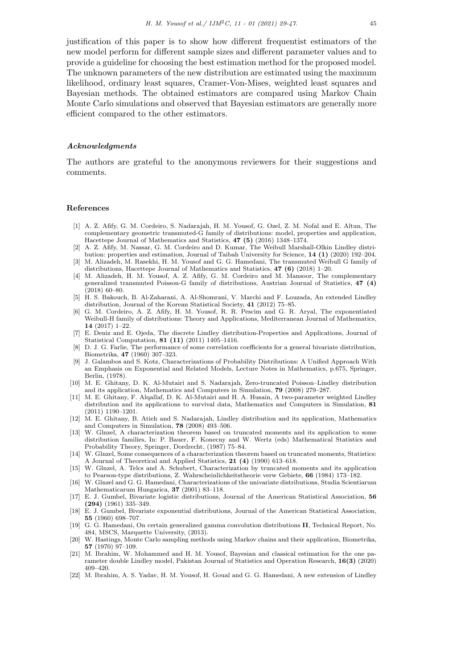justification of this paper is to show how different frequentist estimators of the new model perform for different sample sizes and different parameter values and to provide a guideline for choosing the best estimation method for the proposed model. The unknown parameters of the new distribution are estimated using the maximum likelihood, ordinary least squares, Cramer-Von-Mises, weighted least squares and Bayesian methods. The obtained estimators are compared using Markov Chain Monte Carlo simulations and observed that Bayesian estimators are generally more efficient compared to the other estimators.

#### *Acknowledgments*

The authors are grateful to the anonymous reviewers for their suggestions and comments.

#### **References**

- [1] A. Z. Afify, G. M. Cordeiro, S. Nadarajah, H. M. Yousof, G. Ozel, Z. M. Nofal and E. Altun, The complementary geometric transmuted-G family of distributions: model, properties and application, Hacettepe Journal of Mathematics and Statistics, **47 (5)** (2016) 1348–1374.
- [2] A. Z. Afify, M. Nassar, G. M. Cordeiro and D. Kumar, The Weibull Marshall-Olkin Lindley distri-
- bution: properties and estimation, Journal of Taibah University for Science, **14 (1)** (2020) 192–204. [3] M. Alizadeh, M. Rasekhi, H. M. Yousof and G. G. Hamedani, The transmuted Weibull G family of
- distributions, Hacettepe Journal of Mathematics and Statistics, **47 (6)** (2018) 1–20. [4] M. Alizadeh, H. M. Yousof, A. Z. Afify, G. M. Cordeiro and M. Mansoor, The complementary generalized transmuted Poisson-G family of distributions, Austrian Journal of Statistics, **47 (4)**  $(2018)$  60–80.
- [5] H. S. Bakouch, B. Al-Zaharani, A. Al-Shomrani, V. Marchi and F. Louzada, An extended Lindley distribution, Journal of the Korean Statistical Society, **41** (2012) 75–85.
- [6] G. M. Cordeiro, A. Z. Afify, H. M. Yousof, R. R. Pescim and G. R. Aryal, The exponentiated Weibull-H family of distributions: Theory and Applications, Mediterranean Journal of Mathematics, **14** (2017) 1–22.
- [7] E. Deniz and E. Ojeda, The discrete Lindley distribution-Properties and Applications, Journal of Statistical Computation, **81 (11)** (2011) 1405–1416.
- [8] D. J. G. Farlie, The performance of some correlation coefficients for a general bivariate distribution, Biometrika, **47** (1960) 307–323.
- [9] J. Galambos and S. Kotz, Characterizations of Probability Distributions: A Unified Approach With an Emphasis on Exponential and Related Models, Lecture Notes in Mathematics, p.675, Springer, Berlin, (1978).
- [10] M. E. Ghitany, D. K. Al-Mutairi and S. Nadarajah, Zero-truncated Poisson–Lindley distribution and its application, Mathematics and Computers in Simulation, **79** (2008) 279–287.
- [11] M. E. Ghitany, F. Alqallaf, D. K. Al-Mutairi and H. A. Husain, A two-parameter weighted Lindley distribution and its applications to survival data, Mathematics and Computers in Simulation, **81** (2011) 1190–1201.
- [12] M. E. Ghitany, B. Atieh and S. Nadarajah, Lindley distribution and its application, Mathematics and Computers in Simulation, **78** (2008) 493–506.
- [13] W. Glnzel, A characterization theorem based on truncated moments and its application to some distribution families, In: P. Bauer, F. Konecny and W. Wertz (eds) Mathematical Statistics and Probability Theory, Springer, Dordrecht, (1987) 75–84.
- [14] W. Glnzel, Some consequences of a characterization theorem based on truncated moments, Statistics: A Journal of Theoretical and Applied Statistics, **21 (4)** (1990) 613–618.
- [15] W. Glnzel, A. Telcs and A. Schubert, Characterization by truncated moments and its application to Pearson-type distributions, Z. Wahrscheinlichkeitstheorie verw Gebiete, **66** (1984) 173–182.
- [16] W. Glnzel and G. G. Hamedani, Characterizations of the univariate distributions, Studia Scientiarum Mathematicarum Hungarica, **37** (2001) 83–118.
- [17] E. J. Gumbel, Bivariate logistic distributions, Journal of the American Statistical Association, **56 (294)** (1961) 335–349.
- [18] E. J. Gumbel, Bivariate exponential distributions, Journal of the American Statistical Association, **55** (1960) 698–707.
- [19] G. G. Hamedani, On certain generalized gamma convolution distributions **II**, Technical Report, No. 484, MSCS, Marquette University, (2013).
- [20] W. Hastings, Monte Carlo sampling methods using Markov chains and their application, Biometrika, **57** (1970) 97–109.
- [21] M. Ibrahim, W. Mohammed and H. M. Yousof, Bayesian and classical estimation for the one parameter double Lindley model, Pakistan Journal of Statistics and Operation Research, **16(3)** (2020) 409–420.
- [22] M. Ibrahim, A. S. Yadav, H. M. Yousof, H. Goual and G. G. Hamedani, A new extension of Lindley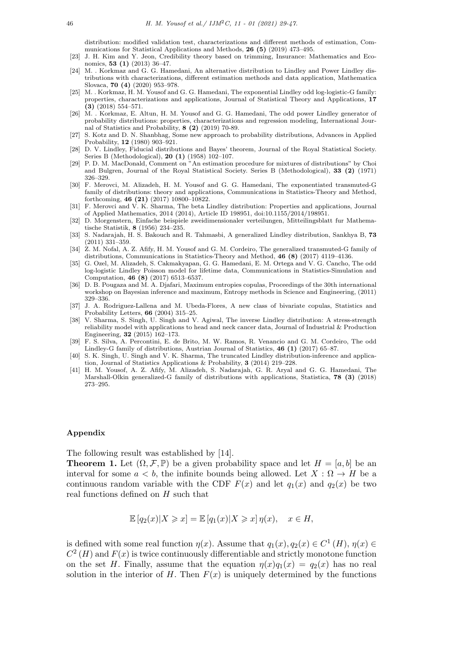distribution: modified validation test, characterizations and different methods of estimation, Communications for Statistical Applications and Methods, **26 (5)** (2019) 473–495.

- [23] J. H. Kim and Y. Jeon, Credibility theory based on trimming, Insurance: Mathematics and Economics, **53 (1)** (2013) 36–47.
- [24] M. . Korkmaz and G. G. Hamedani, An alternative distribution to Lindley and Power Lindley distributions with characterizations, different estimation methods and data application, Mathematica Slovaca, **70 (4)** (2020) 953–978.
- [25] M. . Korkmaz, H. M. Yousof and G. G. Hamedani, The exponential Lindley odd log-logistic-G family: properties, characterizations and applications, Journal of Statistical Theory and Applications, **17 (3)** (2018) 554–571.
- [26] M. . Korkmaz, E. Altun, H. M. Yousof and G. G. Hamedani, The odd power Lindley generator of probability distributions: properties, characterizations and regression modeling, International Journal of Statistics and Probability, **8 (2)** (2019) 70-89.
- [27] S. Kotz and D. N. Shanbhag, Some new approach to probability distributions, Advances in Applied Probability, **12** (1980) 903–921.
- [28] D. V. Lindley, Fiducial distributions and Bayes' theorem, Journal of the Royal Statistical Society. Series B (Methodological), **20 (1)** (1958) 102–107.
- [29] P. D. M. MacDonald, Comment on "An estimation procedure for mixtures of distributions" by Choi and Bulgren, Journal of the Royal Statistical Society. Series B (Methodological), **33 (2)** (1971) 326–329.
- [30] F. Merovci, M. Alizadeh, H. M. Yousof and G. G. Hamedani, The exponentiated transmuted-G family of distributions: theory and applications, Communications in Statistics-Theory and Method, forthcoming, **46 (21)** (2017) 10800–10822.
- [31] F. Merovci and V. K. Sharma, The beta Lindley distribution: Properties and applications, Journal of Applied Mathematics, 2014 (2014), Article ID 198951, doi:10.1155/2014/198951.
- [32] D. Morgenstern, Einfache beispiele zweidimensionaler verteilungen, Mitteilingsblatt fur Mathematische Statistik, **8** (1956) 234–235.
- [33] S. Nadarajah, H. S. Bakouch and R. Tahmasbi, A generalized Lindley distribution, Sankhya B, **73** (2011) 331–359.
- [34] Z. M. Nofal, A. Z. Afify, H. M. Yousof and G. M. Cordeiro, The generalized transmuted-G family of distributions, Communications in Statistics-Theory and Method, **46 (8)** (2017) 4119–4136.
- [35] G. Ozel, M. Alizadeh, S. Cakmakyapan, G. G. Hamedani, E. M. Ortega and V. G. Cancho, The odd log-logistic Lindley Poisson model for lifetime data, Communications in Statistics-Simulation and Computation, **46 (8)** (2017) 6513–6537.
- [36] D. B. Pougaza and M. A. Djafari, Maximum entropies copulas, Proceedings of the 30th international workshop on Bayesian inference and maximum, Entropy methods in Science and Engineering, (2011) 329–336.
- [37] J. A. Rodriguez-Lallena and M. Ubeda-Flores, A new class of bivariate copulas, Statistics and Probability Letters, **66** (2004) 315–25.
- [38] V. Sharma, S. Singh, U. Singh and V. Agiwal, The inverse Lindley distribution: A stress-strength reliability model with applications to head and neck cancer data, Journal of Industrial & Production Engineering, **32** (2015) 162–173.
- [39] F. S. Silva, A. Percontini, E. de Brito, M. W. Ramos, R. Venancio and G. M. Cordeiro, The odd Lindley-G family of distributions, Austrian Journal of Statistics, **46 (1)** (2017) 65–87.
- [40] S. K. Singh, U. Singh and V. K. Sharma, The truncated Lindley distribution-inference and application, Journal of Statistics Applications & Probability, **3** (2014) 219–228.
- [41] H. M. Yousof, A. Z. Afify, M. Alizadeh, S. Nadarajah, G. R. Aryal and G. G. Hamedani, The Marshall-Olkin generalized-G family of distributions with applications, Statistica, **78 (3)** (2018) 273–295.

# **Appendix**

The following result was established by [14].

**Theorem 1.** Let  $(\Omega, \mathcal{F}, \mathbb{P})$  be a given probability space and let  $H = [a, b]$  be an interval for some  $a < b$ , the infinite bounds being allowed. Let  $X : \Omega \to H$  be a continuous random variable with the CDF  $F(x)$  and let  $q_1(x)$  and  $q_2(x)$  be two real functions defined on *H* such that

$$
\mathbb{E}[q_2(x)|X \geq x] = \mathbb{E}[q_1(x)|X \geq x] \eta(x), \quad x \in H,
$$

is defined with some real function  $\eta(x)$ . Assume that  $q_1(x), q_2(x) \in C^1(H)$ ,  $\eta(x) \in$  $C^2(H)$  and  $F(x)$  is twice continuously differentiable and strictly monotone function on the set *H*. Finally, assume that the equation  $\eta(x)q_1(x) = q_2(x)$  has no real solution in the interior of  $H$ . Then  $F(x)$  is uniquely determined by the functions